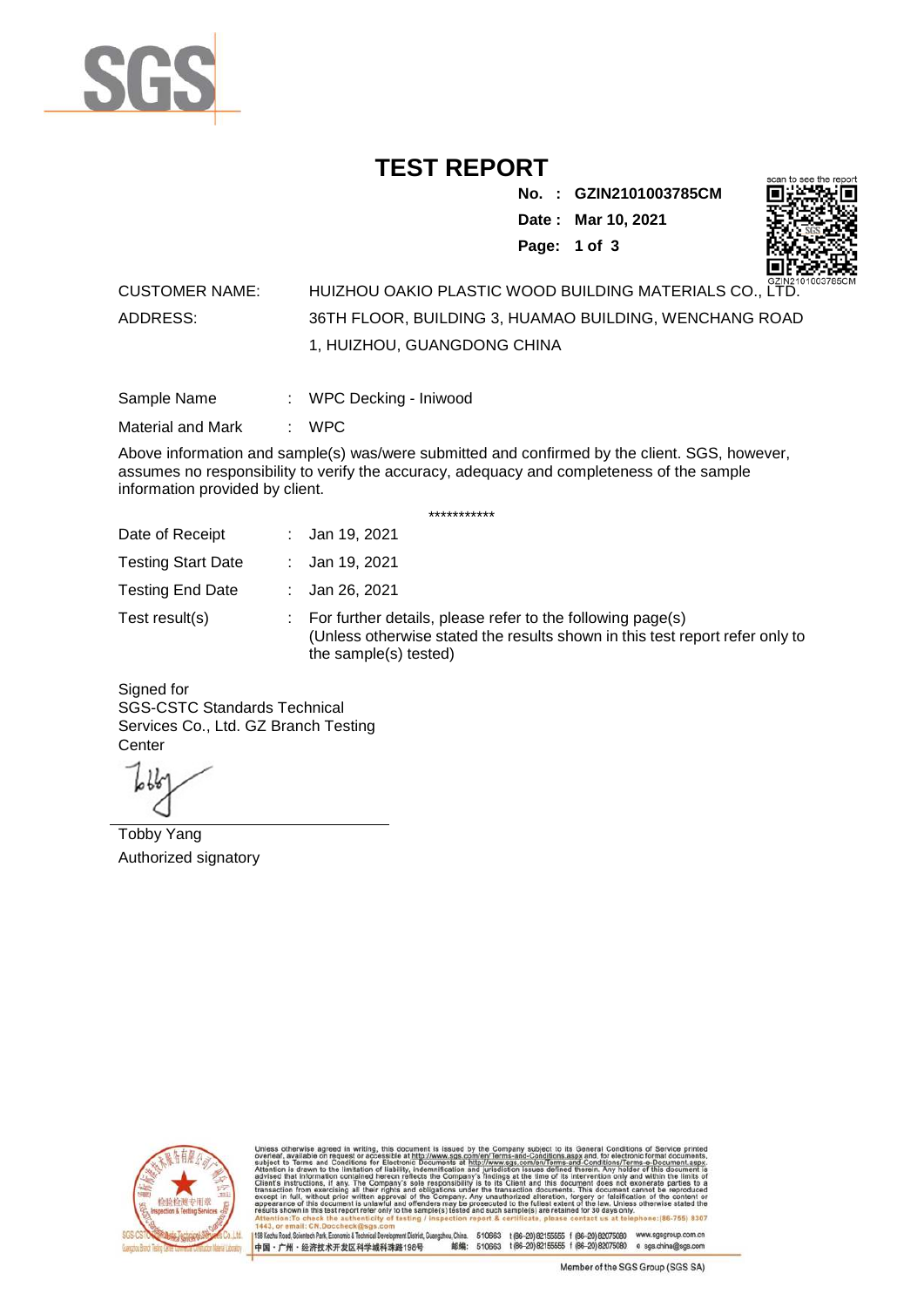

## **TEST REPORT**

**No. : GZIN2101003785CM Date : Mar 10, 2021 Page: 1 of 3** 



## CUSTOMER NAME: HUIZHOU OAKIO PLASTIC WOOD BUILDING MATERIALS CO., LTD. ADDRESS: 36TH FLOOR, BUILDING 3, HUAMAO BUILDING, WENCHANG ROAD 1, HUIZHOU, GUANGDONG CHINA

| Sample Name | WPC Decking - Iniwood |  |
|-------------|-----------------------|--|
|             |                       |  |

Material and Mark : WPC

Above information and sample(s) was/were submitted and confirmed by the client. SGS, however, assumes no responsibility to verify the accuracy, adequacy and completeness of the sample information provided by client.

\*\*\*\*\*\*\*\*\*\*\*

| Date of Receipt           | : Jan 19, 2021                                                                                                                                                        |
|---------------------------|-----------------------------------------------------------------------------------------------------------------------------------------------------------------------|
| <b>Testing Start Date</b> | : Jan 19, 2021                                                                                                                                                        |
| <b>Testing End Date</b>   | : Jan 26, 2021                                                                                                                                                        |
| Test result(s)            | : For further details, please refer to the following page(s)<br>(Unless otherwise stated the results shown in this test report refer only to<br>the sample(s) tested) |

Signed for SGS-CSTC Standards Technical Services Co., Ltd. GZ Branch Testing **Center** 

Tobby Yang Authorized signatory



198 Kezhu Road, Scientech Park, Economic & Technical Devel gzhou, China. ant District G

510663 t(86-20) 82155555 f (86-20) 82075080 www.sgsgroup.com.cn<br>510663 t(86-20) 82155555 f (86-20) 82075080 e sgs.china@sgs.com 邮编: 中国·广州·经济技术开发区科学城科珠路198号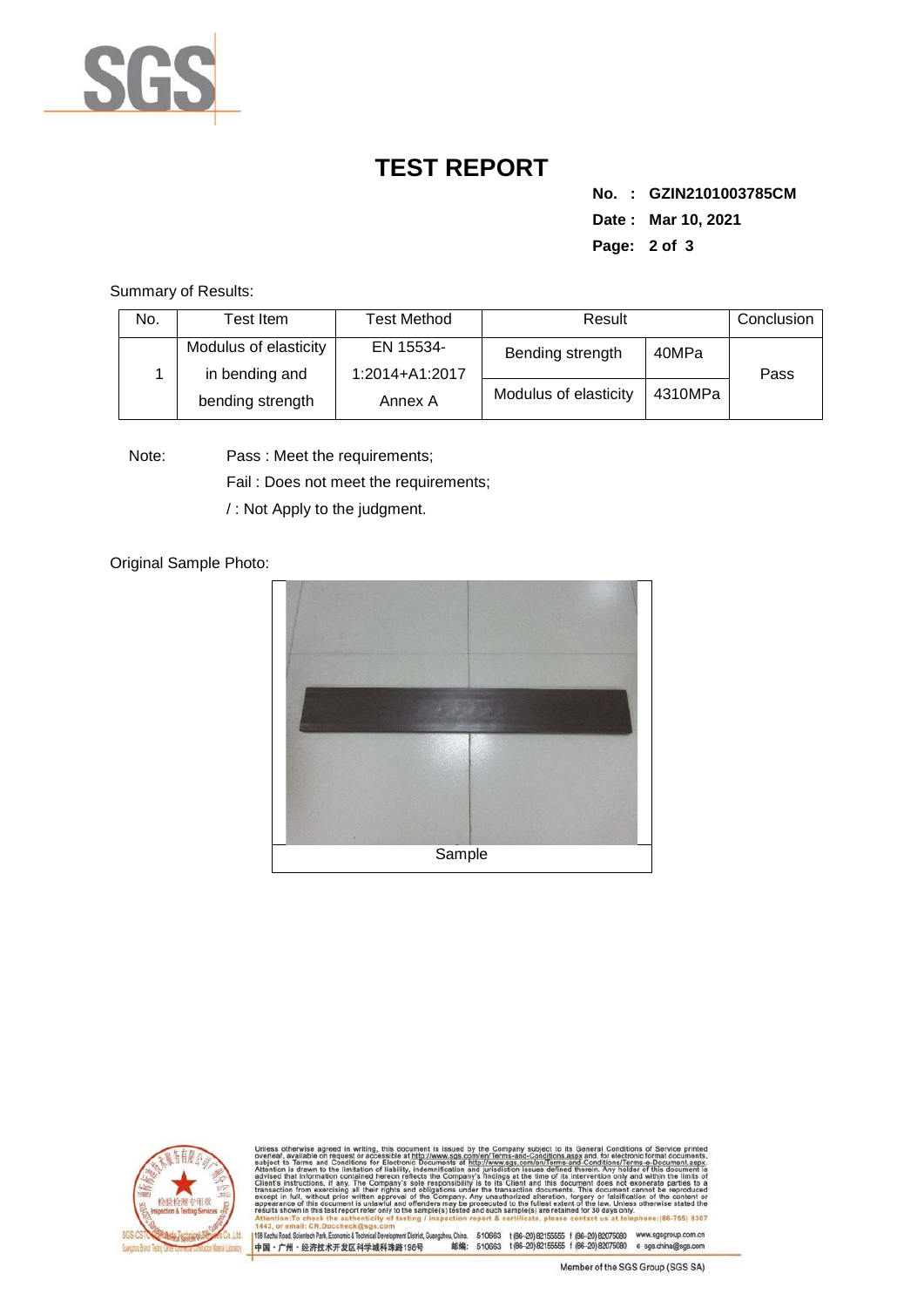

## **TEST REPORT**

**No. : GZIN2101003785CM Date : Mar 10, 2021 Page: 2 of 3** 

Summary of Results:

| No.                                                         | Test Item.                  | Test Method      | Result                |         | Conclusion |
|-------------------------------------------------------------|-----------------------------|------------------|-----------------------|---------|------------|
| Modulus of elasticity<br>in bending and<br>bending strength | EN 15534-<br>1:2014+A1:2017 | Bending strength | 40MPa                 | Pass    |            |
|                                                             |                             | Annex A          | Modulus of elasticity | 4310MPa |            |

Note: Pass : Meet the requirements;

Fail : Does not meet the requirements;

/ : Not Apply to the judgment.

Original Sample Photo:





Conditions/Terms-e-Do<br>rein. Any holder of this 8307 198 Kezhu Road, Scientech Park, Economic & Technical Develop 中国·广州·经济技术开发区科学城科珠路198号